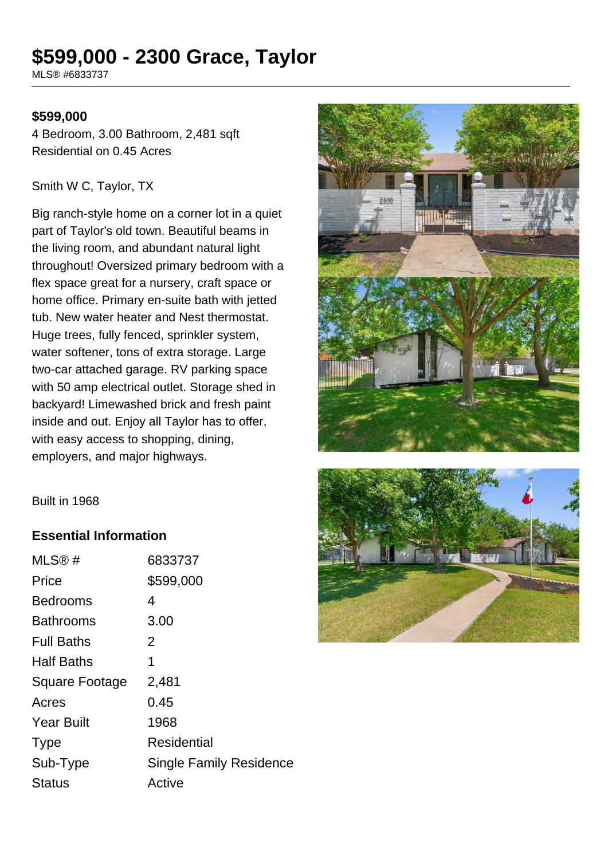# **\$599,000 - 2300 Grace, Taylor**

MLS® #6833737

#### **\$599,000**

4 Bedroom, 3.00 Bathroom, 2,481 sqft Residential on 0.45 Acres

#### Smith W C, Taylor, TX

Big ranch-style home on a corner lot in a quiet part of Taylor's old town. Beautiful beams in the living room, and abundant natural light throughout! Oversized primary bedroom with a flex space great for a nursery, craft space or home office. Primary en-suite bath with jetted tub. New water heater and Nest thermostat. Huge trees, fully fenced, sprinkler system, water softener, tons of extra storage. Large two-car attached garage. RV parking space with 50 amp electrical outlet. Storage shed in backyard! Limewashed brick and fresh paint inside and out. Enjoy all Taylor has to offer, with easy access to shopping, dining, employers, and major highways.





Built in 1968

### **Essential Information**

| MLS@#                 | 6833737                        |
|-----------------------|--------------------------------|
| Price                 | \$599,000                      |
| <b>Bedrooms</b>       | 4                              |
| <b>Bathrooms</b>      | 3.00                           |
| <b>Full Baths</b>     | 2                              |
| <b>Half Baths</b>     | 1                              |
| <b>Square Footage</b> | 2,481                          |
| Acres                 | 0.45                           |
| <b>Year Built</b>     | 1968                           |
| <b>Type</b>           | Residential                    |
| Sub-Type              | <b>Single Family Residence</b> |
| Status                | Active                         |
|                       |                                |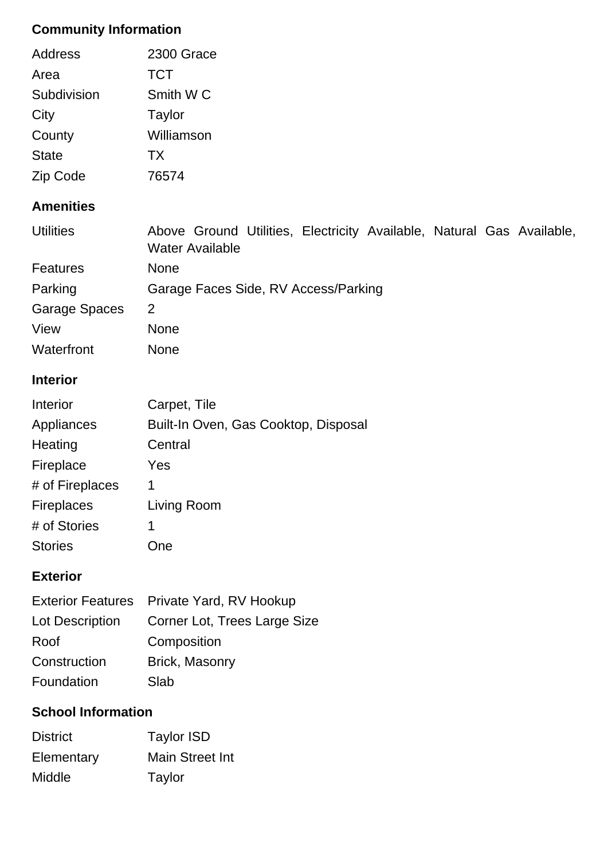# **Community Information**

| Address      | 2300 Grace           |
|--------------|----------------------|
| Area         | <b>TCT</b>           |
| Subdivision  | Smith W <sub>C</sub> |
| City         | Taylor               |
| County       | Williamson           |
| <b>State</b> | <b>TX</b>            |
| Zip Code     | 76574                |

## **Amenities**

| <b>Utilities</b> | Above Ground Utilities, Electricity Available, Natural Gas Available,<br><b>Water Available</b> |  |  |  |  |
|------------------|-------------------------------------------------------------------------------------------------|--|--|--|--|
| <b>Features</b>  | <b>None</b>                                                                                     |  |  |  |  |
| Parking          | Garage Faces Side, RV Access/Parking                                                            |  |  |  |  |
| Garage Spaces    | 2                                                                                               |  |  |  |  |
| View             | <b>None</b>                                                                                     |  |  |  |  |
| Waterfront       | <b>None</b>                                                                                     |  |  |  |  |

## **Interior**

| Interior          | Carpet, Tile                         |
|-------------------|--------------------------------------|
| Appliances        | Built-In Oven, Gas Cooktop, Disposal |
| Heating           | Central                              |
| Fireplace         | Yes                                  |
| # of Fireplaces   | 1                                    |
| <b>Fireplaces</b> | Living Room                          |
| # of Stories      | 1                                    |
| <b>Stories</b>    | )ne                                  |

## **Exterior**

|                 | Exterior Features Private Yard, RV Hookup |
|-----------------|-------------------------------------------|
| Lot Description | Corner Lot, Trees Large Size              |
| Roof            | Composition                               |
| Construction    | Brick, Masonry                            |
| Foundation      | Slab                                      |

## **School Information**

| <b>District</b> | <b>Taylor ISD</b> |
|-----------------|-------------------|
| Elementary      | Main Street Int   |
| Middle          | Taylor            |